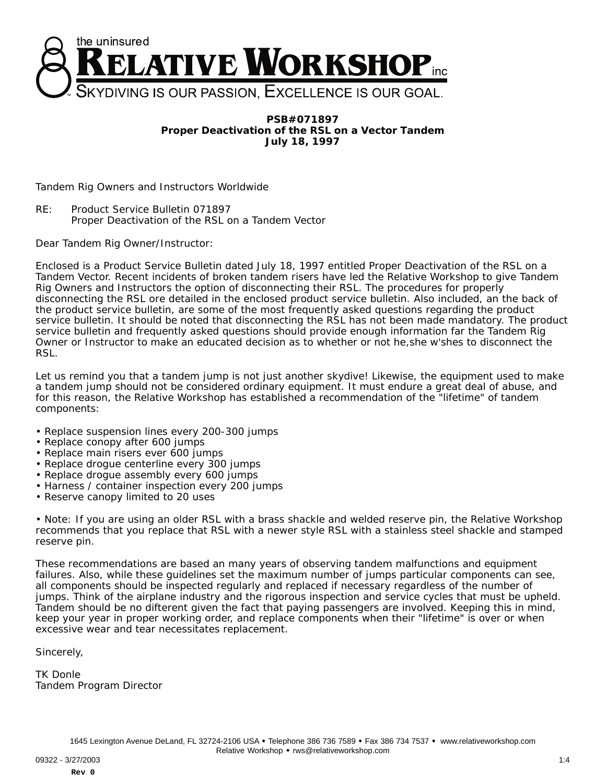

**PSB#071897 Proper Deactivation of the RSL on a Vector Tandem July 18, 1997**

Tandem Rig Owners and Instructors Worldwide

RE: Product Service Bulletin 071897 Proper Deactivation of the RSL on a Tandem Vector

Dear Tandem Rig Owner/Instructor:

Enclosed is a Product Service Bulletin dated July 18, 1997 entitled Proper Deactivation of the RSL on a Tandem Vector. Recent incidents of broken tandem risers have led the Relative Workshop to give Tandem Rig Owners and Instructors the option of disconnecting their RSL. The procedures for properly disconnecting the RSL ore detailed in the enclosed product service bulletin. Also included, an the back of the product service bulletin, are some of the most frequently asked questions regarding the product service bulletin. It should be noted that disconnecting the RSL has not been made mandatory. The product service bulletin and frequently asked questions should provide enough information far the Tandem Rig Owner or Instructor to make an educated decision as to whether or not he,she w'shes to disconnect the **RSL.** 

Let us remind you that a tandem jump is not just another skydive! Likewise, the equipment used to make a tandem jump should not be considered ordinary equipment. It must endure a great deal of abuse, and for this reason, the Relative Workshop has established a recommendation of the "lifetime" of tandem components:

- Replace suspension lines every 200-300 jumps
- Replace conopy after 600 jumps
- Replace main risers ever 600 jumps
- Replace drogue centerline every 300 jumps
- Replace drogue assembly every 600 jumps
- Harness / container inspection every 200 jumps
- Reserve canopy limited to 20 uses

• Note: If you are using an older RSL with a brass shackle and welded reserve pin, the Relative Workshop recommends that you replace that RSL with a newer style RSL with a stainless steel shackle and stamped reserve pin.

These recommendations are based an many years of observing tandem malfunctions and equipment failures. Also, while these guidelines set the maximum number of jumps particular components can see, all components should be inspected regularly and replaced if necessary regardless of the number of jumps. Think of the airplane industry and the rigorous inspection and service cycles that must be upheld. Tandem should be no difterent given the fact that paying passengers are involved. Keeping this in mind, keep your year in proper working order, and replace components when their "lifetime" is over or when excessive wear and tear necessitates replacement.

Sincerely,

TK Donle Tandem Program Director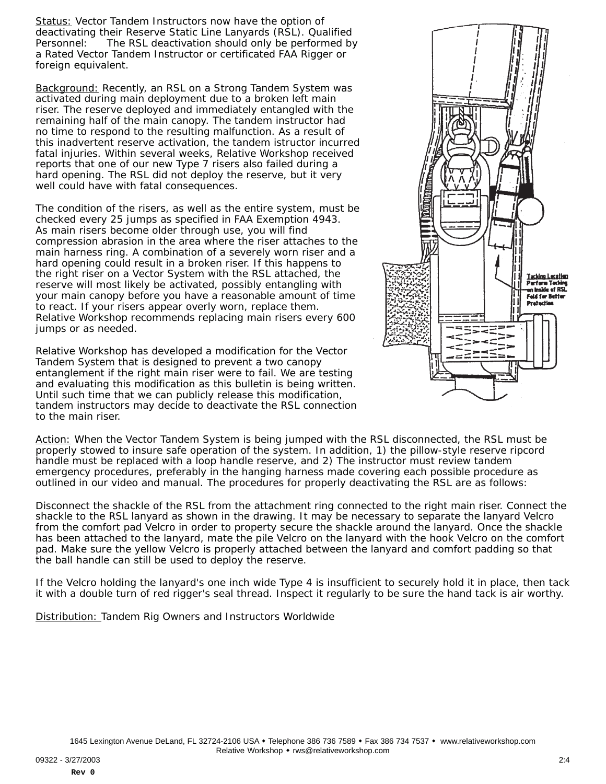Status: Vector Tandem Instructors now have the option of deactivating their Reserve Static Line Lanyards (RSL). Qualified Personnel: The RSL deactivation should only be performed by a Rated Vector Tandem Instructor or certificated FAA Rigger or foreign equivalent.

Background: Recently, an RSL on a Strong Tandem System was activated during main deployment due to a broken left main riser. The reserve deployed and immediately entangled with the remaining half of the main canopy. The tandem instructor had no time to respond to the resulting malfunction. As a result of this inadvertent reserve activation, the tandem istructor incurred fatal injuries. Within several weeks, Relative Workshop received reports that one of our new Type 7 risers also failed during a hard opening. The RSL did not deploy the reserve, but it very well could have with fatal consequences.

The condition of the risers, as well as the entire system, must be checked every 25 jumps as specified in FAA Exemption 4943. As main risers become older through use, you will find compression abrasion in the area where the riser attaches to the main harness ring. A combination of a severely worn riser and a hard opening could result in a broken riser. If this happens to the right riser on a Vector System with the RSL attached, the reserve will most likely be activated, possibly entangling with your main canopy before you have a reasonable amount of time to react. If your risers appear overly worn, replace them. Relative Workshop recommends replacing main risers every 600 jumps or as needed.

Relative Workshop has developed a modification for the Vector Tandem System that is designed to prevent a two canopy entanglement if the right main riser were to fail. We are testing and evaluating this modification as this bulletin is being written. Until such time that we can publicly release this modification, tandem instructors may decide to deactivate the RSL connection to the main riser.



Action: When the Vector Tandem System is being jumped with the RSL disconnected, the RSL must be properly stowed to insure safe operation of the system. In addition, 1) the pillow-style reserve ripcord handle must be replaced with a loop handle reserve, and 2) The instructor must review tandem emergency procedures, preferably in the hanging harness made covering each possible procedure as outlined in our video and manual. The procedures for properly deactivating the RSL are as follows:

Disconnect the shackle of the RSL from the attachment ring connected to the right main riser. Connect the shackle to the RSL lanyard as shown in the drawing. It may be necessary to separate the lanyard Velcro from the comfort pad Velcro in order to property secure the shackle around the lanyard. Once the shackle has been attached to the lanyard, mate the pile Velcro on the lanyard with the hook Velcro on the comfort pad. Make sure the yellow Velcro is properly attached between the lanyard and comfort padding so that the ball handle can still be used to deploy the reserve.

If the Velcro holding the lanyard's one inch wide Type 4 is insufficient to securely hold it in place, then tack it with a double turn of red rigger's seal thread. Inspect it regularly to be sure the hand tack is air worthy.

Distribution: Tandem Rig Owners and Instructors Worldwide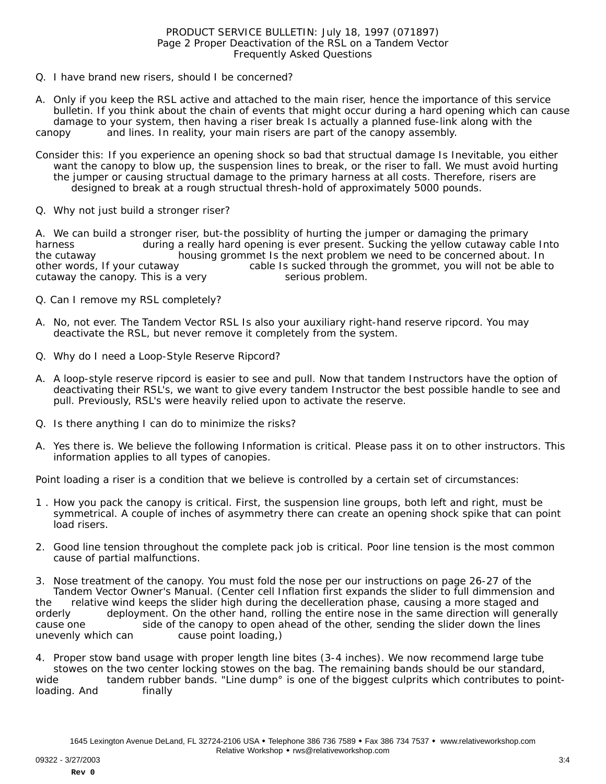## PRODUCT SERVICE BULLETIN: July 18, 1997 (071897) Page 2 Proper Deactivation of the RSL on a Tandem Vector Frequently Asked Questions

- Q. I have brand new risers, should I be concerned?
- A. Only if you keep the RSL active and attached to the main riser, hence the importance of this service bulletin. If you think about the chain of events that might occur during a hard opening which can cause damage to your system, then having a riser break Is actually a planned fuse-link along with the canopy and lines. In reality, your main risers are part of the canopy assembly.
- Consider this: If you experience an opening shock so bad that structual damage Is Inevitable, you either want the canopy to blow up, the suspension lines to break, or the riser to fall. We must avoid hurting the jumper or causing structual damage to the primary harness at all costs. Therefore, risers are designed to break at a rough structual thresh-hold of approximately 5000 pounds.
- Q. Why not just build a stronger riser?

A. We can build a stronger riser, but-the possiblity of hurting the jumper or damaging the primary harness during a really hard opening is ever present. Sucking the yellow cutaway cable Into the cutaway housing grommet Is the next problem we need to be concerned about. In other words, If your cutaway cable Is sucked through the grommet, you will not be able to cutaway the canopy. This is a very serious problem.

- Q. Can I remove my RSL completely?
- A. No, not ever. The Tandem Vector RSL Is also your auxiliary right-hand reserve ripcord. You may deactivate the RSL, but never remove it completely from the system.
- Q. Why do I need a Loop-Style Reserve Ripcord?
- A. A loop-style reserve ripcord is easier to see and pull. Now that tandem Instructors have the option of deactivating their RSL's, we want to give every tandem Instructor the best possible handle to see and pull. Previously, RSL's were heavily relied upon to activate the reserve.
- Q. Is there anything I can do to minimize the risks?
- A. Yes there is. We believe the following Information is critical. Please pass it on to other instructors. This information applies to all types of canopies.

Point loading a riser is a condition that we believe is controlled by a certain set of circumstances:

- 1 . How you pack the canopy is critical. First, the suspension line groups, both left and right, must be symmetrical. A couple of inches of asymmetry there can create an opening shock spike that can point load risers.
- 2. Good line tension throughout the complete pack job is critical. Poor line tension is the most common cause of partial malfunctions.

3. Nose treatment of the canopy. You must fold the nose per our instructions on page 26-27 of the Tandem Vector Owner's Manual. (Center cell Inflation first expands the slider to full dimmension and the relative wind keeps the slider high during the decelleration phase, causing a more staged and orderly deployment. On the other hand, rolling the entire nose in the same direction will generally cause one side of the canopy to open ahead of the other, sending the slider down the lines unevenly which can cause point loading,)

4. Proper stow band usage with proper length line bites (3-4 inches). We now recommend large tube stowes on the two center locking stowes on the bag. The remaining bands should be our standard, wide tandem rubber bands. "Line dump° is one of the biggest culprits which contributes to pointloading. And finally